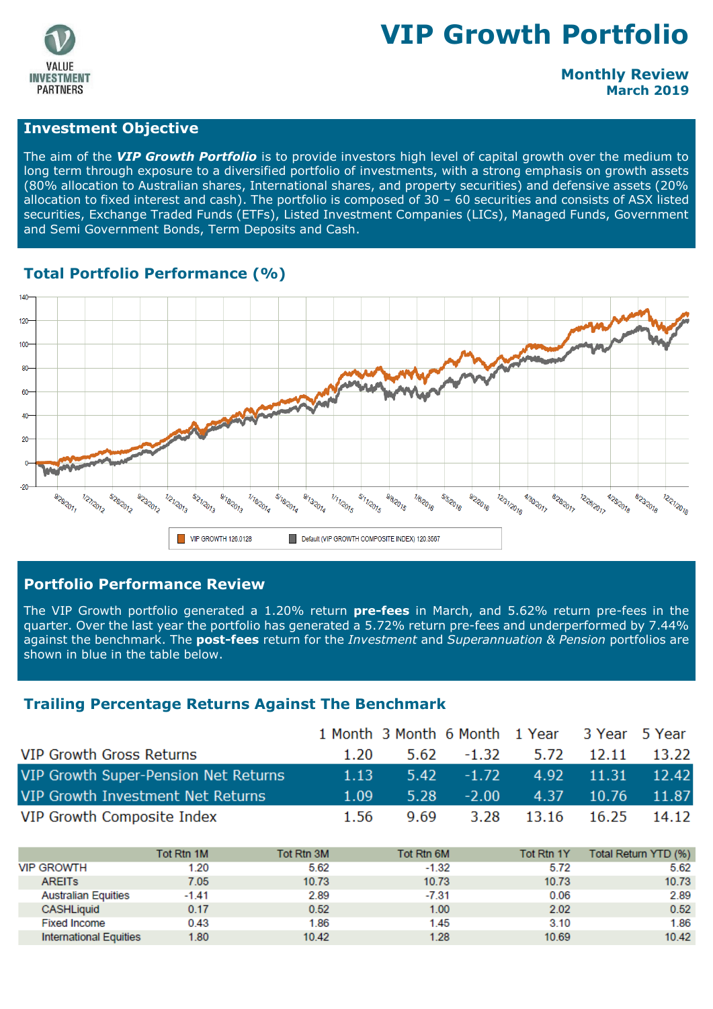

# **VIP Growth Portfolio**

#### **Monthly Review March 2019**

#### **Investment Objective**

The aim of the *VIP Growth Portfolio* is to provide investors high level of capital growth over the medium to long term through exposure to a diversified portfolio of investments, with a strong emphasis on growth assets (80% allocation to Australian shares, International shares, and property securities) and defensive assets (20% allocation to fixed interest and cash). The portfolio is composed of 30 – 60 securities and consists of ASX listed securities, Exchange Traded Funds (ETFs), Listed Investment Companies (LICs), Managed Funds, Government and Semi Government Bonds, Term Deposits and Cash.

#### **Total Portfolio Performance (%)**



#### **Portfolio Performance Review**

The VIP Growth portfolio generated a 1.20% return **pre-fees** in March, and 5.62% return pre-fees in the quarter. Over the last year the portfolio has generated a 5.72% return pre-fees and underperformed by 7.44% against the benchmark. The **post-fees** return for the *Investment* and *Superannuation & Pension* portfolios are shown in blue in the table below.

#### **Trailing Percentage Returns Against The Benchmark**

|                                      |      |      | 1 Month 3 Month 6 Month 1 Year 3 Year 5 Year |                        |                        |       |
|--------------------------------------|------|------|----------------------------------------------|------------------------|------------------------|-------|
| <b>VIP Growth Gross Returns</b>      | 1.20 |      | 5.62 -1.32 5.72 12.11 13.22                  |                        |                        |       |
| VIP Growth Super-Pension Net Returns | 1.13 |      | $5.42 -1.72$                                 |                        | $4.92$ $11.31$ $12.42$ |       |
| VIP Growth Investment Net Returns    | 1.09 | 5.28 | $-2.00$                                      |                        | $4.37$ 10.76           | 11.87 |
| VIP Growth Composite Index           | 1.56 | 9.69 |                                              | 3.28 13.16 16.25 14.12 |                        |       |

|                            | Tot Rtn 1M | Tot Rtn 3M | Tot Rtn 6M | Tot Rtn 1Y | Total Return YTD (%) |
|----------------------------|------------|------------|------------|------------|----------------------|
| VIP GROWTH                 | 1.20       | 5.62       | $-1.32$    | 5.72       | 5.62                 |
| <b>AREITS</b>              | 7.05       | 10.73      | 10.73      | 10.73      | 10.73                |
| <b>Australian Equities</b> | $-1.41$    | 2.89       | $-7.31$    | 0.06       | 2.89                 |
| CASHLiquid                 | 0.17       | 0.52       | 1.00       | 2.02       | 0.52                 |
| <b>Fixed Income</b>        | 0.43       | 1.86       | 1.45       | 3.10       | 1.86                 |
| International Equities     | 1.80       | 10.42      | 1.28       | 10.69      | 10.42                |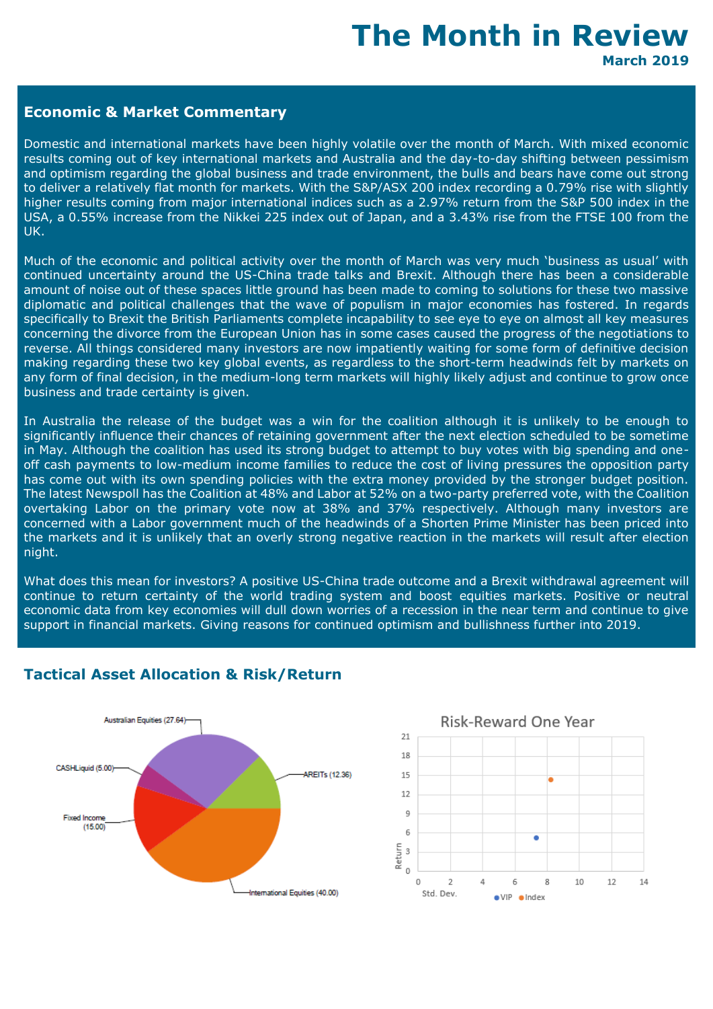## **The Month in Review March 2019**

#### **Economic & Market Commentary**

Domestic and international markets have been highly volatile over the month of March. With mixed economic results coming out of key international markets and Australia and the day-to-day shifting between pessimism and optimism regarding the global business and trade environment, the bulls and bears have come out strong to deliver a relatively flat month for markets. With the S&P/ASX 200 index recording a 0.79% rise with slightly higher results coming from major international indices such as a 2.97% return from the S&P 500 index in the USA, a 0.55% increase from the Nikkei 225 index out of Japan, and a 3.43% rise from the FTSE 100 from the UK.

Much of the economic and political activity over the month of March was very much 'business as usual' with continued uncertainty around the US-China trade talks and Brexit. Although there has been a considerable amount of noise out of these spaces little ground has been made to coming to solutions for these two massive diplomatic and political challenges that the wave of populism in major economies has fostered. In regards specifically to Brexit the British Parliaments complete incapability to see eye to eye on almost all key measures concerning the divorce from the European Union has in some cases caused the progress of the negotiations to reverse. All things considered many investors are now impatiently waiting for some form of definitive decision making regarding these two key global events, as regardless to the short-term headwinds felt by markets on any form of final decision, in the medium-long term markets will highly likely adjust and continue to grow once business and trade certainty is given.

In Australia the release of the budget was a win for the coalition although it is unlikely to be enough to significantly influence their chances of retaining government after the next election scheduled to be sometime in May. Although the coalition has used its strong budget to attempt to buy votes with big spending and oneoff cash payments to low-medium income families to reduce the cost of living pressures the opposition party has come out with its own spending policies with the extra money provided by the stronger budget position. The latest Newspoll has the Coalition at 48% and Labor at 52% on a two-party preferred vote, with the Coalition overtaking Labor on the primary vote now at 38% and 37% respectively. Although many investors are concerned with a Labor government much of the headwinds of a Shorten Prime Minister has been priced into the markets and it is unlikely that an overly strong negative reaction in the markets will result after election night.

What does this mean for investors? A positive US-China trade outcome and a Brexit withdrawal agreement will continue to return certainty of the world trading system and boost equities markets. Positive or neutral economic data from key economies will dull down worries of a recession in the near term and continue to give support in financial markets. Giving reasons for continued optimism and bullishness further into 2019.



#### **Tactical Asset Allocation & Risk/Return**

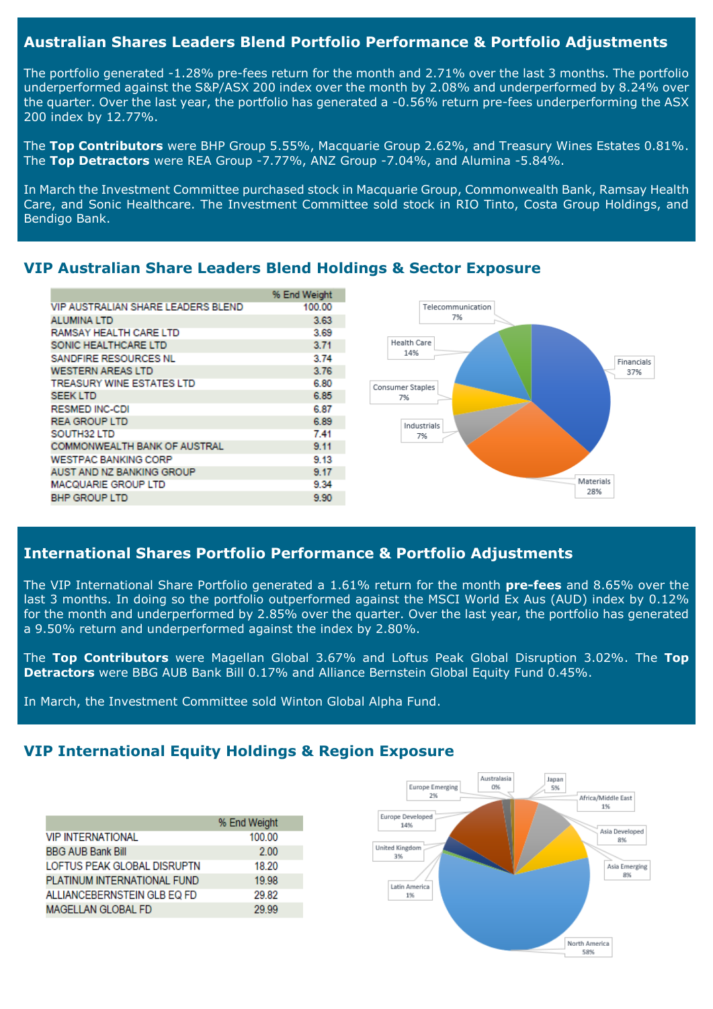#### **Australian Shares Leaders Blend Portfolio Performance & Portfolio Adjustments**

The portfolio generated -1.28% pre-fees return for the month and 2.71% over the last 3 months. The portfolio underperformed against the S&P/ASX 200 index over the month by 2.08% and underperformed by 8.24% over the quarter. Over the last year, the portfolio has generated a -0.56% return pre-fees underperforming the ASX 200 index by 12.77%.

The **Top Contributors** were BHP Group 5.55%, Macquarie Group 2.62%, and Treasury Wines Estates 0.81%. The **Top Detractors** were REA Group -7.77%, ANZ Group -7.04%, and Alumina -5.84%.

In March the Investment Committee purchased stock in Macquarie Group, Commonwealth Bank, Ramsay Health Care, and Sonic Healthcare. The Investment Committee sold stock in RIO Tinto, Costa Group Holdings, and Bendigo Bank.

#### % End Weight **VIP AUSTRALIAN SHARE LEADERS BLEND** 100.00 Telecommunication **ALUMINA LTD** 3.63 7% RAMSAY HEALTH CARE LTD 3.69 **Health Care** SONIC HEALTHCARE LTD  $3.71$ 14% SANDEIRE RESOURCES NL 3.74 Financials **WESTERN AREAS LTD** 3.76 37% **TREASURY WINE ESTATES LTD** 6.80 Consumer Staples **SEEK LTD** 6.85 7% **RESMED INC-CDI** 6.87 **REA GROUP LTD** 6.89 Industrials SOUTH32 LTD 741  $7%$ COMMONWEALTH BANK OF AUSTRAL  $9.11$ **WESTPAC BANKING CORP** 9 13 **AUST AND NZ BANKING GROUP** 9.17 Materials MACQUARIE GROUP LTD 9.34 28% **BHP GROUP LTD** 9.90

#### **VIP Australian Share Leaders Blend Holdings & Sector Exposure**

#### **International Shares Portfolio Performance & Portfolio Adjustments**

The VIP International Share Portfolio generated a 1.61% return for the month **pre-fees** and 8.65% over the last 3 months. In doing so the portfolio outperformed against the MSCI World Ex Aus (AUD) index by 0.12% for the month and underperformed by 2.85% over the quarter. Over the last year, the portfolio has generated a 9.50% return and underperformed against the index by 2.80%.

The **Top Contributors** were Magellan Global 3.67% and Loftus Peak Global Disruption 3.02%. The **Top Detractors** were BBG AUB Bank Bill 0.17% and Alliance Bernstein Global Equity Fund 0.45%.

In March, the Investment Committee sold Winton Global Alpha Fund.

### **VIP International Equity Holdings & Region Exposure**

|                             | % End Weight |
|-----------------------------|--------------|
| <b>VIP INTERNATIONAL</b>    | 100.00       |
| <b>BBG AUB Bank Bill</b>    | 2.00         |
| LOFTUS PEAK GLOBAL DISRUPTN | 18.20        |
| PLATINUM INTERNATIONAL FUND | 19.98        |
| ALLIANCEBERNSTEIN GLB EQ FD | 29.82        |
| <b>MAGELLAN GLOBAL FD</b>   | 29.99        |